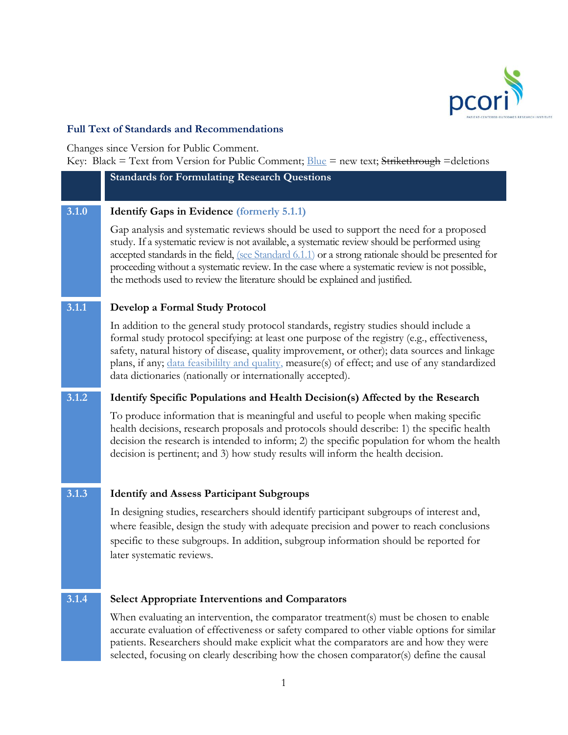

## **Full Text of Standards and Recommendations**

Changes since Version for Public Comment.

Key: Black = Text from Version for Public Comment;  $Blue = new text$ ; Strikethrough =deletions

**3.1.0 Identify Gaps in Evidence (formerly 5.1.1)**

**Standards for Formulating Research Questions**

Gap analysis and systematic reviews should be used to support the need for a proposed study. If a systematic review is not available, a systematic review should be performed using accepted standards in the field, (see Standard 6.1.1) or a strong rationale should be presented for proceeding without a systematic review. In the case where a systematic review is not possible, the methods used to review the literature should be explained and justified.

## **3.1.1 Develop a Formal Study Protocol**

In addition to the general study protocol standards, registry studies should include a formal study protocol specifying: at least one purpose of the registry (e.g., effectiveness, safety, natural history of disease, quality improvement, or other); data sources and linkage plans, if any; data feasibililty and quality, measure(s) of effect; and use of any standardized data dictionaries (nationally or internationally accepted).

## **3.1.2 Identify Specific Populations and Health Decision(s) Affected by the Research**

To produce information that is meaningful and useful to people when making specific health decisions, research proposals and protocols should describe: 1) the specific health decision the research is intended to inform; 2) the specific population for whom the health decision is pertinent; and 3) how study results will inform the health decision.

## **3.1.3 Identify and Assess Participant Subgroups**

In designing studies, researchers should identify participant subgroups of interest and, where feasible, design the study with adequate precision and power to reach conclusions specific to these subgroups. In addition, subgroup information should be reported for later systematic reviews.

## **3.1.4 Select Appropriate Interventions and Comparators**

When evaluating an intervention, the comparator treatment(s) must be chosen to enable accurate evaluation of effectiveness or safety compared to other viable options for similar patients. Researchers should make explicit what the comparators are and how they were selected, focusing on clearly describing how the chosen comparator(s) define the causal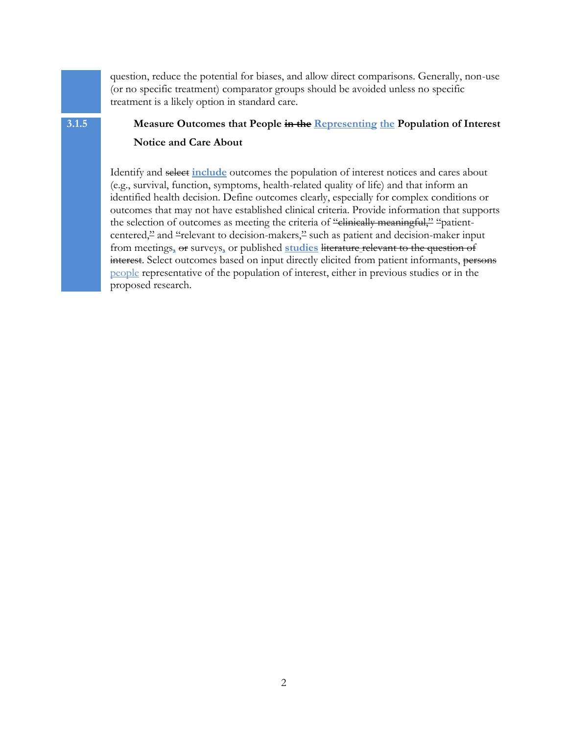question, reduce the potential for biases, and allow direct comparisons. Generally, non-use (or no specific treatment) comparator groups should be avoided unless no specific treatment is a likely option in standard care.

# **3.1.5 Measure Outcomes that People in the Representing the Population of Interest**

## **Notice and Care About**

Identify and select **include** outcomes the population of interest notices and cares about (e.g., survival, function, symptoms, health-related quality of life) and that inform an identified health decision. Define outcomes clearly, especially for complex conditions or outcomes that may not have established clinical criteria. Provide information that supports the selection of outcomes as meeting the criteria of "clinically meaningful," "patientcentered," and "relevant to decision-makers," such as patient and decision-maker input from meetings**,** or surveys**,** or published **studies** literature relevant to the question of interest. Select outcomes based on input directly elicited from patient informants, persons people representative of the population of interest, either in previous studies or in the proposed research.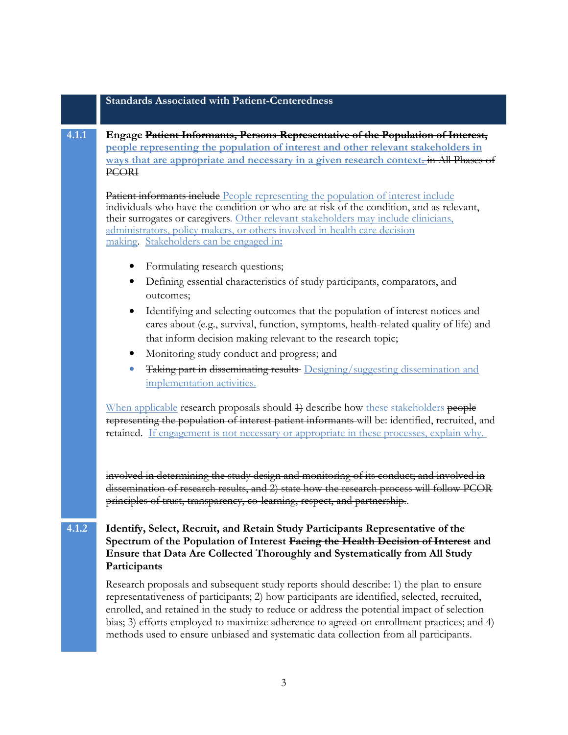### **Standards Associated with Patient-Centeredness**

## **4.1.1 Engage Patient Informants, Persons Representative of the Population of Interest, people representing the population of interest and other relevant stakeholders in ways that are appropriate and necessary in a given research context.** in All Phases of PCORI

**Patient informants include** People representing the population of interest include individuals who have the condition or who are at risk of the condition, and as relevant, their surrogates or caregivers. Other relevant stakeholders may include clinicians, administrators, policy makers, or others involved in health care decision making. Stakeholders can be engaged in**:**

- Formulating research questions;
- Defining essential characteristics of study participants, comparators, and outcomes;
- Identifying and selecting outcomes that the population of interest notices and cares about (e.g., survival, function, symptoms, health-related quality of life) and that inform decision making relevant to the research topic;
- Monitoring study conduct and progress; and
- Taking part in disseminating results Designing/suggesting dissemination and implementation activities.

When applicable research proposals should 4) describe how these stakeholders people representing the population of interest patient informants will be: identified, recruited, and retained. If engagement is not necessary or appropriate in these processes, explain why.

involved in determining the study design and monitoring of its conduct; and involved in dissemination of research results, and 2) state how the research process will follow PCOR principles of trust, transparency, co-learning, respect, and partnership..

## **4.1.2 Identify, Select, Recruit, and Retain Study Participants Representative of the Spectrum of the Population of Interest Facing the Health Decision of Interest and Ensure that Data Are Collected Thoroughly and Systematically from All Study Participants**

Research proposals and subsequent study reports should describe: 1) the plan to ensure representativeness of participants; 2) how participants are identified, selected, recruited, enrolled, and retained in the study to reduce or address the potential impact of selection bias; 3) efforts employed to maximize adherence to agreed-on enrollment practices; and 4) methods used to ensure unbiased and systematic data collection from all participants.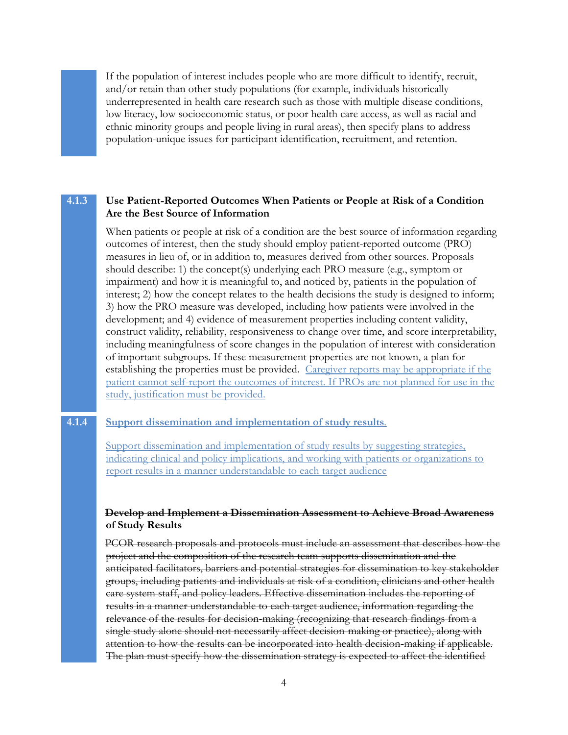If the population of interest includes people who are more difficult to identify, recruit, and/or retain than other study populations (for example, individuals historically underrepresented in health care research such as those with multiple disease conditions, low literacy, low socioeconomic status, or poor health care access, as well as racial and ethnic minority groups and people living in rural areas), then specify plans to address population-unique issues for participant identification, recruitment, and retention.

## **4.1.3 Use Patient-Reported Outcomes When Patients or People at Risk of a Condition Are the Best Source of Information**

When patients or people at risk of a condition are the best source of information regarding outcomes of interest, then the study should employ patient-reported outcome (PRO) measures in lieu of, or in addition to, measures derived from other sources. Proposals should describe: 1) the concept(s) underlying each PRO measure (e.g., symptom or impairment) and how it is meaningful to, and noticed by, patients in the population of interest; 2) how the concept relates to the health decisions the study is designed to inform; 3) how the PRO measure was developed, including how patients were involved in the development; and 4) evidence of measurement properties including content validity, construct validity, reliability, responsiveness to change over time, and score interpretability, including meaningfulness of score changes in the population of interest with consideration of important subgroups. If these measurement properties are not known, a plan for establishing the properties must be provided. Caregiver reports may be appropriate if the patient cannot self-report the outcomes of interest. If PROs are not planned for use in the study, justification must be provided.

#### **4.1.4 Support dissemination and implementation of study results***.*

Support dissemination and implementation of study results by suggesting strategies, indicating clinical and policy implications, and working with patients or organizations to report results in a manner understandable to each target audience

#### **Develop and Implement a Dissemination Assessment to Achieve Broad Awareness of Study Results**

PCOR research proposals and protocols must include an assessment that describes how the project and the composition of the research team supports dissemination and the anticipated facilitators, barriers and potential strategies for dissemination to key stakeholder groups, including patients and individuals at risk of a condition, clinicians and other health care system staff, and policy leaders. Effective dissemination includes the reporting of results in a manner understandable to each target audience, information regarding the relevance of the results for decision-making (recognizing that research findings from a single study alone should not necessarily affect decision-making or practice), along with attention to how the results can be incorporated into health decision-making if applicable. The plan must specify how the dissemination strategy is expected to affect the identified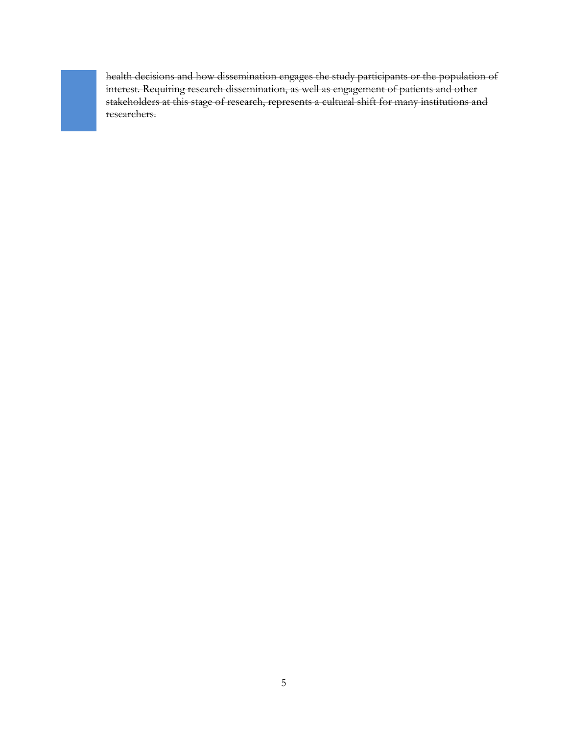health decisions and how dissemination engages the study participants or the population of interest. Requiring research dissemination, as well as engagement of patients and other stakeholders at this stage of research, represents a cultural shift for many institutions and researchers.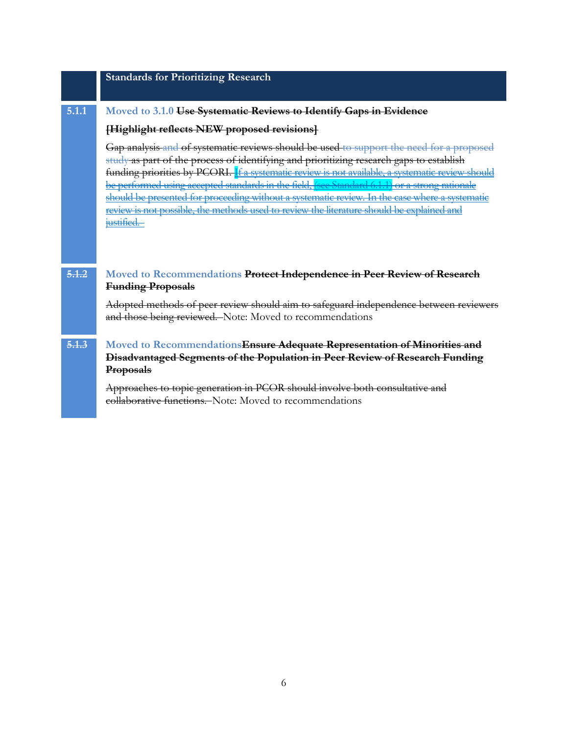|       | <b>Standards for Prioritizing Research</b>                                                                                                                                                                                                                                                                                                                                                                                                                                                                                                                                               |
|-------|------------------------------------------------------------------------------------------------------------------------------------------------------------------------------------------------------------------------------------------------------------------------------------------------------------------------------------------------------------------------------------------------------------------------------------------------------------------------------------------------------------------------------------------------------------------------------------------|
| 5.1.1 | Moved to 3.1.0 Use Systematic Reviews to Identify Gaps in Evidence                                                                                                                                                                                                                                                                                                                                                                                                                                                                                                                       |
|       | [Highlight reflects NEW proposed revisions]                                                                                                                                                                                                                                                                                                                                                                                                                                                                                                                                              |
|       | Gap analysis and of systematic reviews should be used to support the need for a proposed<br>study as part of the process of identifying and prioritizing research gaps to establish<br>funding priorities by PCORI. If a systematic review is not available, a systematic review should<br>be performed using accepted standards in the field, (see Standard 6.1.1) or a strong rationale<br>should be presented for proceeding without a systematic review. In the case where a systematic<br>review is not possible, the methods used to review the literature should be explained and |
| 5.1.2 | justified.<br>Moved to Recommendations Protect Independence in Peer Review of Research                                                                                                                                                                                                                                                                                                                                                                                                                                                                                                   |
|       | <b>Funding Proposals</b>                                                                                                                                                                                                                                                                                                                                                                                                                                                                                                                                                                 |
|       | Adopted methods of peer review should aim to safeguard independence between reviewers<br>and those being reviewed. Note: Moved to recommendations                                                                                                                                                                                                                                                                                                                                                                                                                                        |
| 5.1.3 | Moved to Recommendations Ensure Adequate Representation of Minorities and<br>Disadvantaged Segments of the Population in Peer Review of Research Funding<br><b>Proposals</b>                                                                                                                                                                                                                                                                                                                                                                                                             |
|       | Approaches to topic generation in PCOR should involve both consultative and<br>collaborative functions. Note: Moved to recommendations                                                                                                                                                                                                                                                                                                                                                                                                                                                   |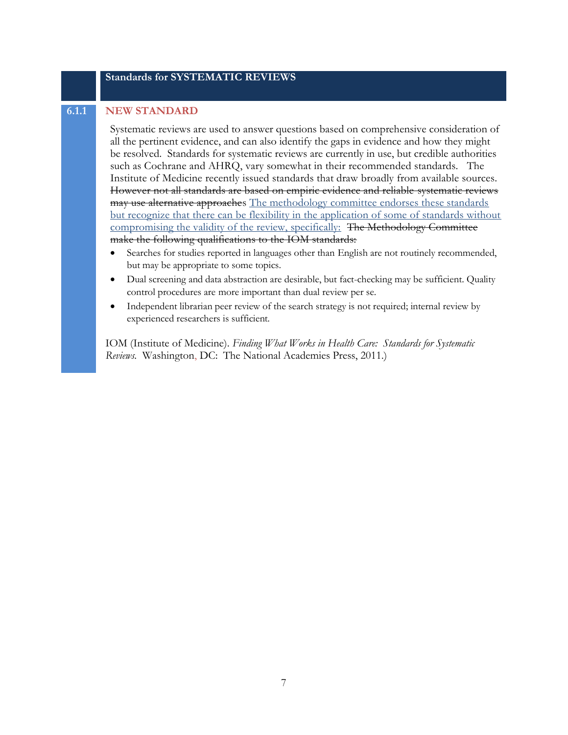## **Standards for SYSTEMATIC REVIEWS**

#### **6.1.1 NEW STANDARD**

Systematic reviews are used to answer questions based on comprehensive consideration of all the pertinent evidence, and can also identify the gaps in evidence and how they might be resolved. Standards for systematic reviews are currently in use, but credible authorities such as Cochrane and AHRQ, vary somewhat in their recommended standards. The Institute of Medicine recently issued standards that draw broadly from available sources. However not all standards are based on empiric evidence and reliable systematic reviews may use alternative approaches The methodology committee endorses these standards but recognize that there can be flexibility in the application of some of standards without compromising the validity of the review, specifically: The Methodology Committee make the following qualifications to the IOM standards:

- Searches for studies reported in languages other than English are not routinely recommended, but may be appropriate to some topics.
- Dual screening and data abstraction are desirable, but fact-checking may be sufficient. Quality control procedures are more important than dual review per se.
- Independent librarian peer review of the search strategy is not required; internal review by experienced researchers is sufficient.

IOM (Institute of Medicine). *Finding What Works in Health Care: Standards for Systematic Reviews.* Washington, DC: The National Academies Press, 2011.)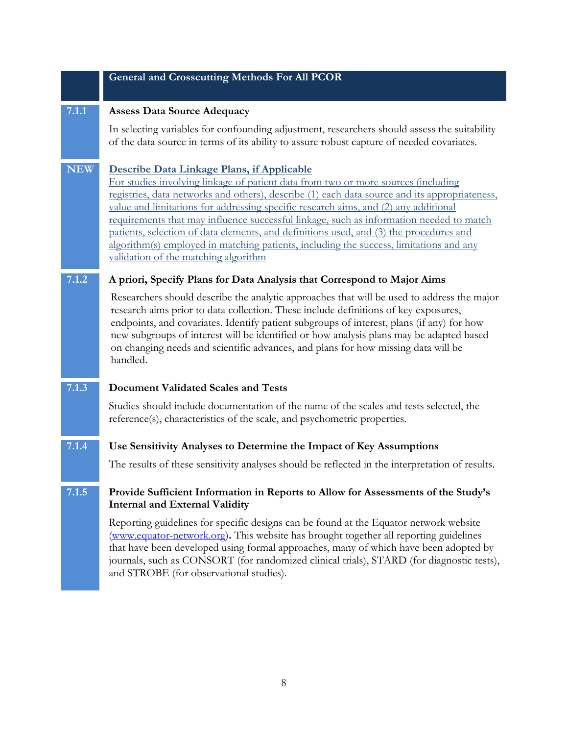#### **General and Crosscutting Methods For All PCOR**

#### **7.1.1 Assess Data Source Adequacy**

In selecting variables for confounding adjustment, researchers should assess the suitability of the data source in terms of its ability to assure robust capture of needed covariates.

## **NEW Describe Data Linkage Plans, if Applicable**

For studies involving linkage of patient data from two or more sources (including registries, data networks and others), describe (1) each data source and its appropriateness, value and limitations for addressing specific research aims, and (2) any additional requirements that may influence successful linkage, such as information needed to match patients, selection of data elements, and definitions used, and (3) the procedures and algorithm(s) employed in matching patients, including the success, limitations and any validation of the matching algorithm

#### **7.1.2 A priori, Specify Plans for Data Analysis that Correspond to Major Aims**

Researchers should describe the analytic approaches that will be used to address the major research aims prior to data collection. These include definitions of key exposures, endpoints, and covariates. Identify patient subgroups of interest, plans (if any) for how new subgroups of interest will be identified or how analysis plans may be adapted based on changing needs and scientific advances, and plans for how missing data will be handled.

#### **7.1.3 Document Validated Scales and Tests**

Studies should include documentation of the name of the scales and tests selected, the reference(s), characteristics of the scale, and psychometric properties.

### **7.1.4 Use Sensitivity Analyses to Determine the Impact of Key Assumptions**

The results of these sensitivity analyses should be reflected in the interpretation of results.

#### **7.1.5 Provide Sufficient Information in Reports to Allow for Assessments of the Study's Internal and External Validity**

Reporting guidelines for specific designs can be found at the Equator network website [\(www.equator-network.org\)](http://www.equator-network.org/)**.** This website has brought together all reporting guidelines that have been developed using formal approaches, many of which have been adopted by journals, such as CONSORT (for randomized clinical trials), STARD (for diagnostic tests), and STROBE (for observational studies).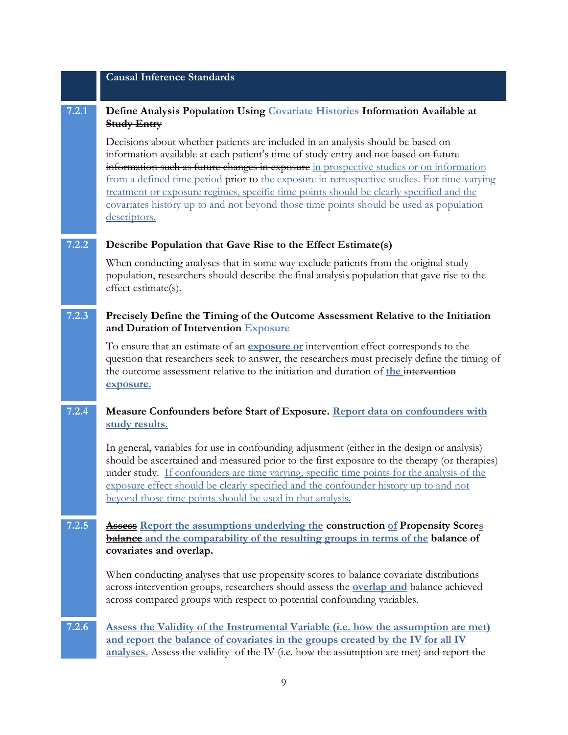## **Causal Inference Standards**

## **7.2.1 Define Analysis Population Using Covariate Histories Information Available at Study Entry**

Decisions about whether patients are included in an analysis should be based on information available at each patient's time of study entry and not based on future information such as future changes in exposure in prospective studies or on information from a defined time period prior to the exposure in retrospective studies. For time-varying treatment or exposure regimes, specific time points should be clearly specified and the covariates history up to and not beyond those time points should be used as population descriptors.

## **7.2.2 Describe Population that Gave Rise to the Effect Estimate(s)**

When conducting analyses that in some way exclude patients from the original study population, researchers should describe the final analysis population that gave rise to the effect estimate(s).

## **7.2.3 Precisely Define the Timing of the Outcome Assessment Relative to the Initiation and Duration of Intervention Exposure**

To ensure that an estimate of an **exposure or** intervention effect corresponds to the question that researchers seek to answer, the researchers must precisely define the timing of the outcome assessment relative to the initiation and duration of **the** intervention **exposure.**

## **7.2.4 Measure Confounders before Start of Exposure. Report data on confounders with study results.**

In general, variables for use in confounding adjustment (either in the design or analysis) should be ascertained and measured prior to the first exposure to the therapy (or therapies) under study. If confounders are time varying, specific time points for the analysis of the exposure effect should be clearly specified and the confounder history up to and not beyond those time points should be used in that analysis.

## **7.2.5 Assess Report the assumptions underlying the construction of Propensity Scores balance and the comparability of the resulting groups in terms of the balance of covariates and overlap.**

When conducting analyses that use propensity scores to balance covariate distributions across intervention groups, researchers should assess the **overlap and** balance achieved across compared groups with respect to potential confounding variables.

## **7.2.6 Assess the Validity of the Instrumental Variable (i.e. how the assumption are met) and report the balance of covariates in the groups created by the IV for all IV analyses.** Assess the validity of the IV (i.e. how the assumption are met) and report the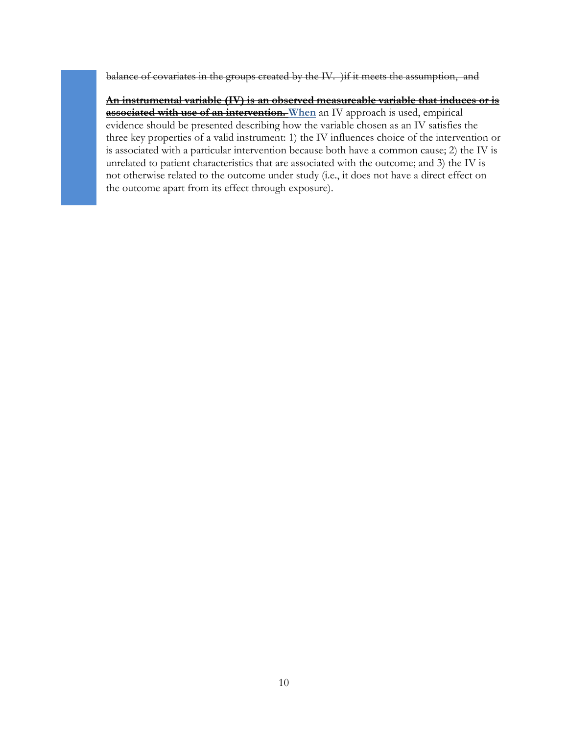balance of covariates in the groups created by the IV. ) if it meets the assumption, and

**An instrumental variable (IV) is an observed measureable variable that induces or is associated with use of an intervention. When** an IV approach is used, empirical evidence should be presented describing how the variable chosen as an IV satisfies the three key properties of a valid instrument: 1) the IV influences choice of the intervention or is associated with a particular intervention because both have a common cause; 2) the IV is unrelated to patient characteristics that are associated with the outcome; and 3) the IV is not otherwise related to the outcome under study (i.e., it does not have a direct effect on the outcome apart from its effect through exposure).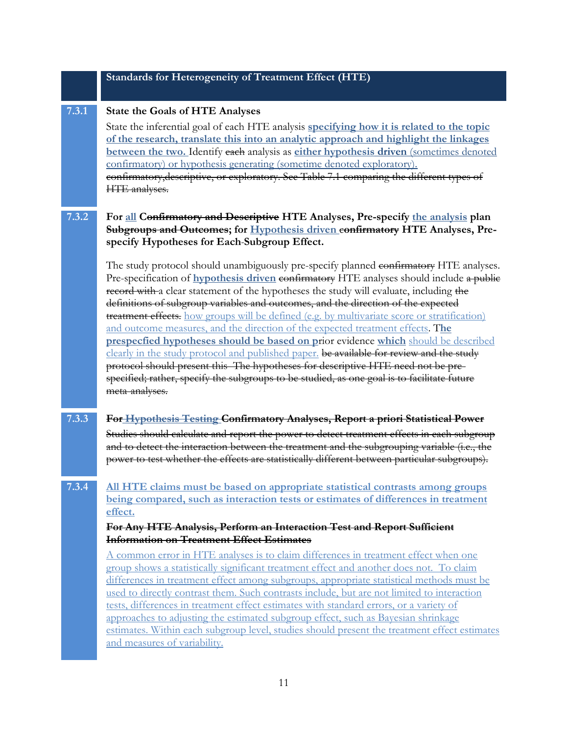## **Standards for Heterogeneity of Treatment Effect (HTE)**

### **7.3.1 State the Goals of HTE Analyses**

State the inferential goal of each HTE analysis **specifying how it is related to the topic of the research, translate this into an analytic approach and highlight the linkages between the two.** Identify each analysis as **either hypothesis driven** (sometimes denoted confirmatory) or hypothesis generating (sometime denoted exploratory). confirmatory,descriptive, or exploratory. See Table 7.1 comparing the different types of HTE analyses.

## **7.3.2 For all Confirmatory and Descriptive HTE Analyses, Pre-specify the analysis plan Subgroups and Outcomes; for Hypothesis driven** c**onfirmatory HTE Analyses, Prespecify Hypotheses for Each Subgroup Effect.**

The study protocol should unambiguously pre-specify planned confirmatory HTE analyses. Pre-specification of **hypothesis driven** confirmatory HTE analyses should include a public record with a clear statement of the hypotheses the study will evaluate, including the definitions of subgroup variables and outcomes, and the direction of the expected **treatment effects.** how groups will be defined (e.g. by multivariate score or stratification) and outcome measures, and the direction of the expected treatment effects. T**he prespecfied hypotheses should be based on p**rior evidence **which** should be described clearly in the study protocol and published paper. be available for review and the study protocol should present this The hypotheses for descriptive HTE need not be prespecified; rather, specify the subgroups to be studied, as one goal is to facilitate future meta-analyses.

# **7.3.3 For Hypothesis Testing Confirmatory Analyses, Report a priori Statistical Power**

Studies should calculate and report the power to detect treatment effects in each subgroup and to detect the interaction between the treatment and the subgrouping variable (i.e., the power to test whether the effects are statistically different between particular subgroups).

# **7.3.4 All HTE claims must be based on appropriate statistical contrasts among groups being compared, such as interaction tests or estimates of differences in treatment effect.**

#### **For Any HTE Analysis, Perform an Interaction Test and Report Sufficient Information on Treatment Effect Estimates**

A common error in HTE analyses is to claim differences in treatment effect when one group shows a statistically significant treatment effect and another does not. To claim differences in treatment effect among subgroups, appropriate statistical methods must be used to directly contrast them. Such contrasts include, but are not limited to interaction tests, differences in treatment effect estimates with standard errors, or a variety of approaches to adjusting the estimated subgroup effect, such as Bayesian shrinkage estimates. Within each subgroup level, studies should present the treatment effect estimates and measures of variability.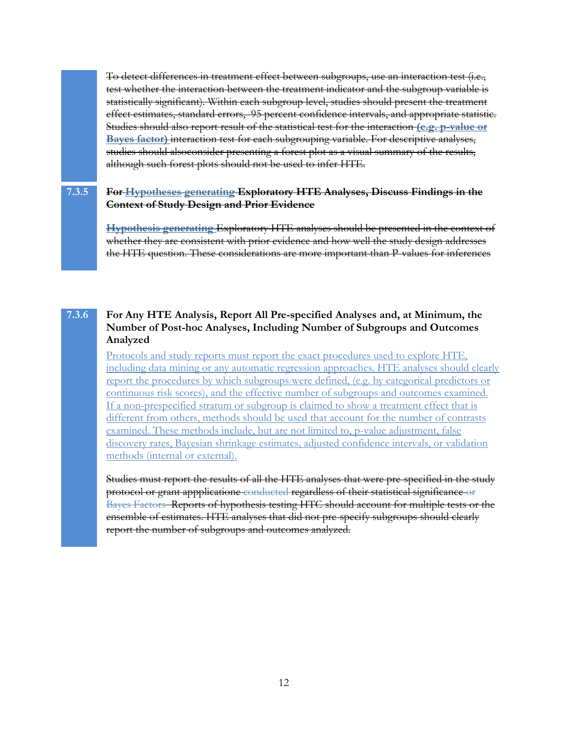To detect differences in treatment effect between subgroups, use an interaction test (i.e., test whether the interaction between the treatment indicator and the subgroup variable is statistically significant). Within each subgroup level, studies should present the treatment effect estimates, standard errors, 95 percent confidence intervals, and appropriate statistic. Studies should also report result of the statistical test for the interaction **(e.g. p-value or Bayes factor)** interaction test for each subgrouping variable. For descriptive analyses, studies should alsoconsider presenting a forest plot as a visual summary of the results, although such forest plots should not be used to infer HTE.

## **7.3.5 For Hypotheses generating Exploratory HTE Analyses, Discuss Findings in the Context of Study Design and Prior Evidence**

**Hypothesis generating** Exploratory HTE analyses should be presented in the context of whether they are consistent with prior evidence and how well the study design addresses the HTE question. These considerations are more important than P-values for inferences

## **7.3.6 For Any HTE Analysis, Report All Pre-specified Analyses and, at Minimum, the Number of Post-hoc Analyses, Including Number of Subgroups and Outcomes Analyzed**

Protocols and study reports must report the exact procedures used to explore HTE, including data mining or any automatic regression approaches. HTE analyses should clearly report the procedures by which subgroups were defined, (e.g. by categorical predictors or continuous risk scores), and the effective number of subgroups and outcomes examined. If a non-prespecified stratum or subgroup is claimed to show a treatment effect that is different from others, methods should be used that account for the number of contrasts examined. These methods include, but are not limited to, p-value adjustment, false discovery rates, Bayesian shrinkage estimates, adjusted confidence intervals, or validation methods (internal or external).

Studies must report the results of all the HTE analyses that were pre-specified in the study protocol or grant appplicatione conducted regardless of their statistical significance or Bayes Factors Reports of hypothesis testing HTC should account for multiple tests or the ensemble of estimates. HTE analyses that did not pre-specify subgroups should clearly report the number of subgroups and outcomes analyzed.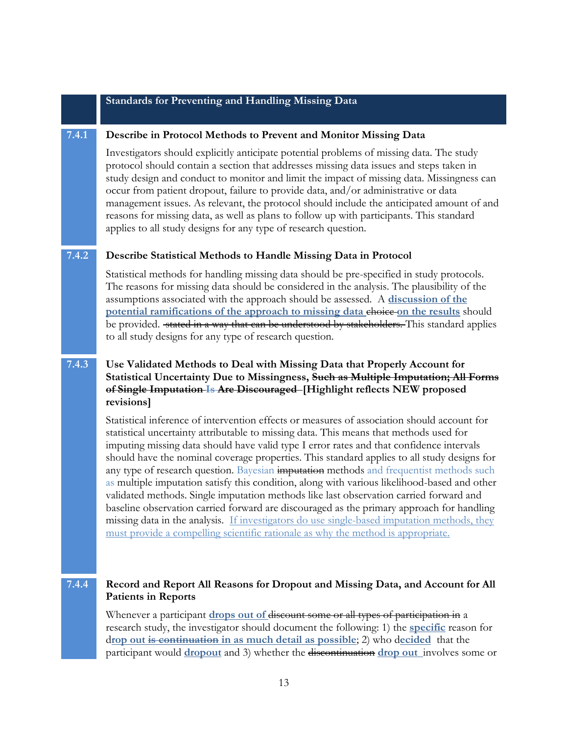#### **Standards for Preventing and Handling Missing Data**

#### **7.4.1 Describe in Protocol Methods to Prevent and Monitor Missing Data**

Investigators should explicitly anticipate potential problems of missing data. The study protocol should contain a section that addresses missing data issues and steps taken in study design and conduct to monitor and limit the impact of missing data. Missingness can occur from patient dropout, failure to provide data, and/or administrative or data management issues. As relevant, the protocol should include the anticipated amount of and reasons for missing data, as well as plans to follow up with participants. This standard applies to all study designs for any type of research question.

#### **7.4.2 Describe Statistical Methods to Handle Missing Data in Protocol**

Statistical methods for handling missing data should be pre-specified in study protocols. The reasons for missing data should be considered in the analysis. The plausibility of the assumptions associated with the approach should be assessed. A **discussion of the potential ramifications of the approach to missing data choice on the results** should be provided. stated in a way that can be understood by stakeholders. This standard applies to all study designs for any type of research question.

## **7.4.3 Use Validated Methods to Deal with Missing Data that Properly Account for Statistical Uncertainty Due to Missingness, Such as Multiple Imputation; All Forms of Single Imputation Is Are Discouraged [Highlight reflects NEW proposed revisions]**

Statistical inference of intervention effects or measures of association should account for statistical uncertainty attributable to missing data. This means that methods used for imputing missing data should have valid type I error rates and that confidence intervals should have the nominal coverage properties. This standard applies to all study designs for any type of research question. Bayesian imputation methods and frequentist methods such as multiple imputation satisfy this condition, along with various likelihood-based and other validated methods. Single imputation methods like last observation carried forward and baseline observation carried forward are discouraged as the primary approach for handling missing data in the analysis. If investigators do use single-based imputation methods, they must provide a compelling scientific rationale as why the method is appropriate.

## **7.4.4 Record and Report All Reasons for Dropout and Missing Data, and Account for All Patients in Reports**

Whenever a participant **drops out of** discount some or all types of participation in a research study, the investigator should document the following: 1) the **specific** reason for d**rop out is continuation in as much detail as possible**; 2) who d**ecided** that the participant would **dropout** and 3) whether the discontinuation **drop out** involves some or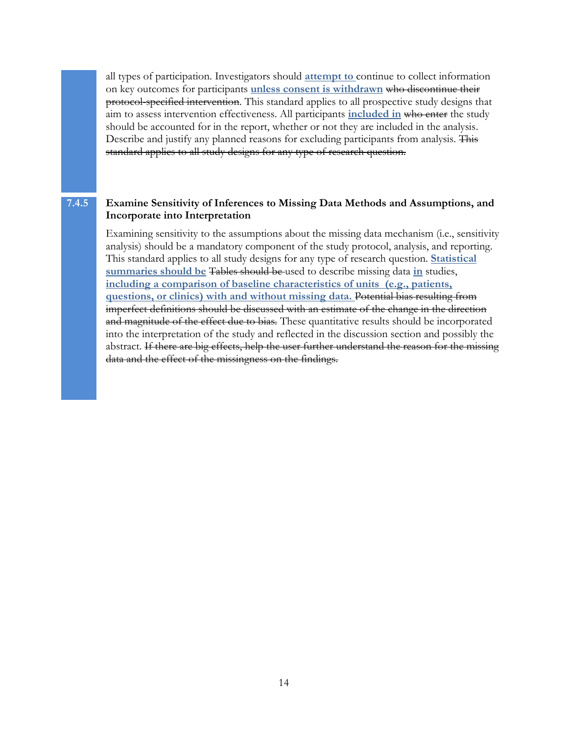all types of participation. Investigators should **attempt to** continue to collect information on key outcomes for participants **unless consent is withdrawn** who discontinue their protocol-specified intervention. This standard applies to all prospective study designs that aim to assess intervention effectiveness. All participants **included in** who enter the study should be accounted for in the report, whether or not they are included in the analysis. Describe and justify any planned reasons for excluding participants from analysis. This standard applies to all study designs for any type of research question.

## **7.4.5 Examine Sensitivity of Inferences to Missing Data Methods and Assumptions, and Incorporate into Interpretation**

Examining sensitivity to the assumptions about the missing data mechanism (i.e., sensitivity analysis) should be a mandatory component of the study protocol, analysis, and reporting. This standard applies to all study designs for any type of research question. **Statistical summaries should be** Tables should be used to describe missing data **in** studies, **including a comparison of baseline characteristics of units (e.g., patients, questions, or clinics) with and without missing data.** Potential bias resulting from imperfect definitions should be discussed with an estimate of the change in the direction and magnitude of the effect due to bias. These quantitative results should be incorporated into the interpretation of the study and reflected in the discussion section and possibly the abstract. If there are big effects, help the user further understand the reason for the missing data and the effect of the missingness on the findings.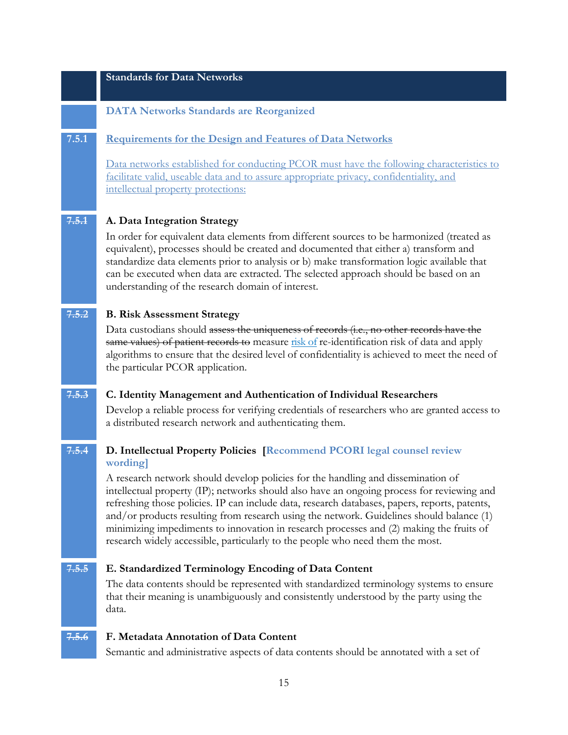## **Standards for Data Networks**

#### **DATA Networks Standards are Reorganized**

#### **7.5.1 Requirements for the Design and Features of Data Networks**

Data networks established for conducting PCOR must have the following characteristics to facilitate valid, useable data and to assure appropriate privacy, confidentiality, and intellectual property protections:

## **7.5.1 A. Data Integration Strategy**

In order for equivalent data elements from different sources to be harmonized (treated as equivalent), processes should be created and documented that either a) transform and standardize data elements prior to analysis or b) make transformation logic available that can be executed when data are extracted. The selected approach should be based on an understanding of the research domain of interest.

## **7.5.2 B. Risk Assessment Strategy**

Data custodians should assess the uniqueness of records (i.e., no other records have the same values) of patient records to measure risk of re-identification risk of data and apply algorithms to ensure that the desired level of confidentiality is achieved to meet the need of the particular PCOR application.

#### **7.5.3 C. Identity Management and Authentication of Individual Researchers**

Develop a reliable process for verifying credentials of researchers who are granted access to a distributed research network and authenticating them.

## **7.5.4 D. Intellectual Property Policies [Recommend PCORI legal counsel review wording]**

A research network should develop policies for the handling and dissemination of intellectual property (IP); networks should also have an ongoing process for reviewing and refreshing those policies. IP can include data, research databases, papers, reports, patents, and/or products resulting from research using the network. Guidelines should balance (1) minimizing impediments to innovation in research processes and (2) making the fruits of research widely accessible, particularly to the people who need them the most.

## **7.5.5 E. Standardized Terminology Encoding of Data Content**

The data contents should be represented with standardized terminology systems to ensure that their meaning is unambiguously and consistently understood by the party using the data.

#### **7.5.6 F. Metadata Annotation of Data Content**

Semantic and administrative aspects of data contents should be annotated with a set of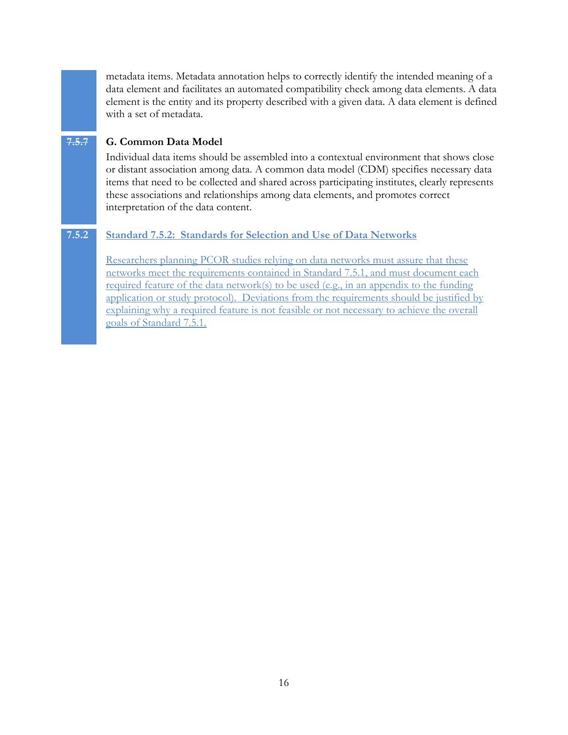metadata items. Metadata annotation helps to correctly identify the intended meaning of a data element and facilitates an automated compatibility check among data elements. A data element is the entity and its property described with a given data. A data element is defined with a set of metadata.

## **7.5.7 G. Common Data Model**

Individual data items should be assembled into a contextual environment that shows close or distant association among data. A common data model (CDM) specifies necessary data items that need to be collected and shared across participating institutes, clearly represents these associations and relationships among data elements, and promotes correct interpretation of the data content.

## **7.5.2 Standard 7.5.2: Standards for Selection and Use of Data Networks**

Researchers planning PCOR studies relying on data networks must assure that these networks meet the requirements contained in Standard 7.5.1, and must document each required feature of the data network(s) to be used (e.g., in an appendix to the funding application or study protocol). Deviations from the requirements should be justified by explaining why a required feature is not feasible or not necessary to achieve the overall goals of Standard 7.5.1.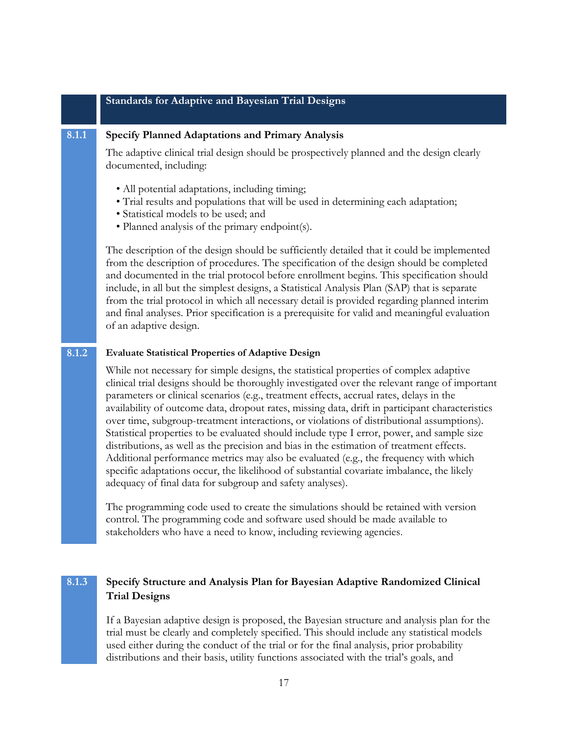#### **Standards for Adaptive and Bayesian Trial Designs**

#### **8.1.1 Specify Planned Adaptations and Primary Analysis**

The adaptive clinical trial design should be prospectively planned and the design clearly documented, including:

- All potential adaptations, including timing;
- Trial results and populations that will be used in determining each adaptation;
- Statistical models to be used; and
- Planned analysis of the primary endpoint(s).

The description of the design should be sufficiently detailed that it could be implemented from the description of procedures. The specification of the design should be completed and documented in the trial protocol before enrollment begins. This specification should include, in all but the simplest designs, a Statistical Analysis Plan (SAP) that is separate from the trial protocol in which all necessary detail is provided regarding planned interim and final analyses. Prior specification is a prerequisite for valid and meaningful evaluation of an adaptive design.

#### **8.1.2 Evaluate Statistical Properties of Adaptive Design**

While not necessary for simple designs, the statistical properties of complex adaptive clinical trial designs should be thoroughly investigated over the relevant range of important parameters or clinical scenarios (e.g., treatment effects, accrual rates, delays in the availability of outcome data, dropout rates, missing data, drift in participant characteristics over time, subgroup-treatment interactions, or violations of distributional assumptions). Statistical properties to be evaluated should include type I error, power, and sample size distributions, as well as the precision and bias in the estimation of treatment effects. Additional performance metrics may also be evaluated (e.g., the frequency with which specific adaptations occur, the likelihood of substantial covariate imbalance, the likely adequacy of final data for subgroup and safety analyses).

The programming code used to create the simulations should be retained with version control. The programming code and software used should be made available to stakeholders who have a need to know, including reviewing agencies.

## **8.1.3 Specify Structure and Analysis Plan for Bayesian Adaptive Randomized Clinical Trial Designs**

If a Bayesian adaptive design is proposed, the Bayesian structure and analysis plan for the trial must be clearly and completely specified. This should include any statistical models used either during the conduct of the trial or for the final analysis, prior probability distributions and their basis, utility functions associated with the trial's goals, and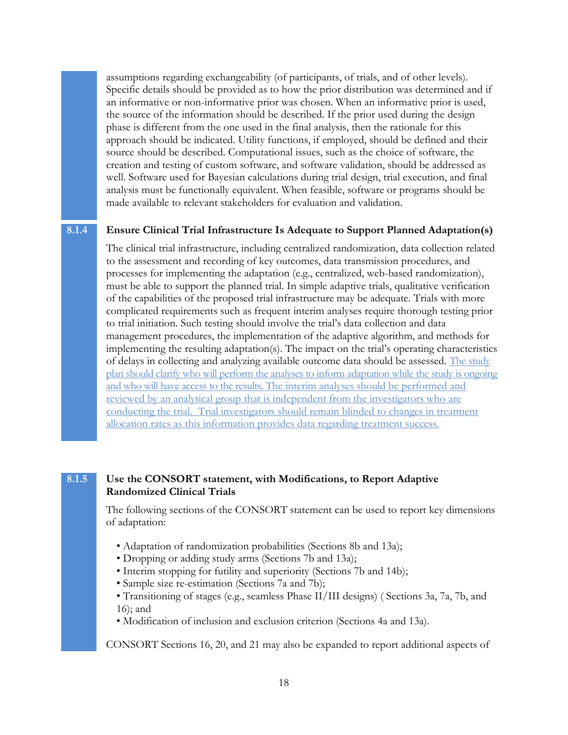assumptions regarding exchangeability (of participants, of trials, and of other levels). Specific details should be provided as to how the prior distribution was determined and if an informative or non-informative prior was chosen. When an informative prior is used, the source of the information should be described. If the prior used during the design phase is different from the one used in the final analysis, then the rationale for this approach should be indicated. Utility functions, if employed, should be defined and their source should be described. Computational issues, such as the choice of software, the creation and testing of custom software, and software validation, should be addressed as well. Software used for Bayesian calculations during trial design, trial execution, and final analysis must be functionally equivalent. When feasible, software or programs should be made available to relevant stakeholders for evaluation and validation.

## **8.1.4 Ensure Clinical Trial Infrastructure Is Adequate to Support Planned Adaptation(s)**

The clinical trial infrastructure, including centralized randomization, data collection related to the assessment and recording of key outcomes, data transmission procedures, and processes for implementing the adaptation (e.g., centralized, web-based randomization), must be able to support the planned trial. In simple adaptive trials, qualitative verification of the capabilities of the proposed trial infrastructure may be adequate. Trials with more complicated requirements such as frequent interim analyses require thorough testing prior to trial initiation. Such testing should involve the trial's data collection and data management procedures, the implementation of the adaptive algorithm, and methods for implementing the resulting adaptation(s). The impact on the trial's operating characteristics of delays in collecting and analyzing available outcome data should be assessed. The study plan should clarify who will perform the analyses to inform adaptation while the study is ongoing and who will have access to the results. The interim analyses should be performed and reviewed by an analytical group that is independent from the investigators who are conducting the trial. Trial investigators should remain blinded to changes in treatment allocation rates as this information provides data regarding treatment success.

### **8.1.5 Use the CONSORT statement, with Modifications, to Report Adaptive Randomized Clinical Trials**

The following sections of the CONSORT statement can be used to report key dimensions of adaptation:

- Adaptation of randomization probabilities (Sections 8b and 13a);
- Dropping or adding study arms (Sections 7b and 13a);
- Interim stopping for futility and superiority (Sections 7b and 14b);
- Sample size re-estimation (Sections 7a and 7b);
- Transitioning of stages (e.g., seamless Phase II/III designs) ( Sections 3a, 7a, 7b, and 16); and
- Modification of inclusion and exclusion criterion (Sections 4a and 13a).

CONSORT Sections 16, 20, and 21 may also be expanded to report additional aspects of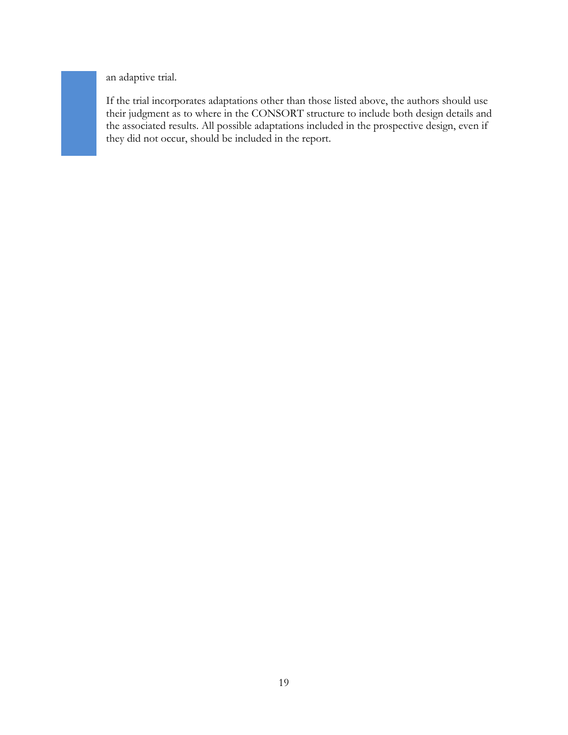an adaptive trial.

If the trial incorporates adaptations other than those listed above, the authors should use their judgment as to where in the CONSORT structure to include both design details and the associated results. All possible adaptations included in the prospective design, even if they did not occur, should be included in the report.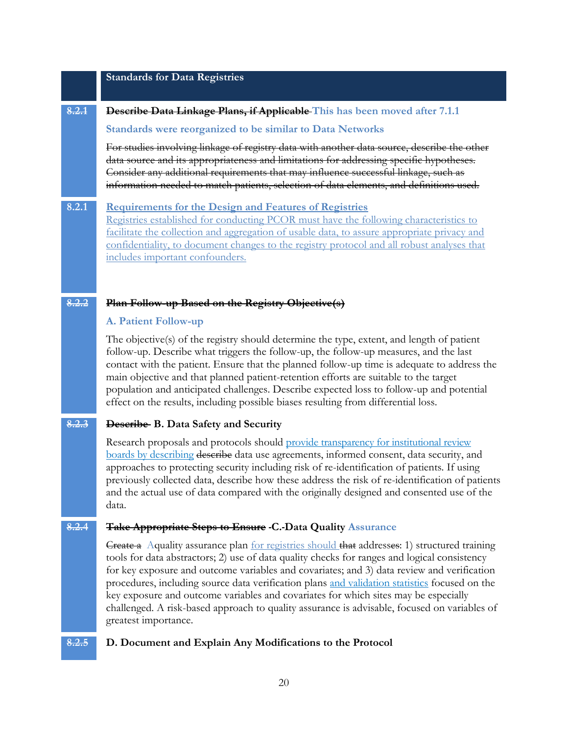#### **Standards for Data Registries**

#### **8.2.1 Describe Data Linkage Plans, if Applicable This has been moved after 7.1.1**

#### **Standards were reorganized to be similar to Data Networks**

For studies involving linkage of registry data with another data source, describe the other data source and its appropriateness and limitations for addressing specific hypotheses. Consider any additional requirements that may influence successful linkage, such as information needed to match patients, selection of data elements, and definitions used.

**8.2.1 Requirements for the Design and Features of Registries** Registries established for conducting PCOR must have the following characteristics to facilitate the collection and aggregation of usable data, to assure appropriate privacy and confidentiality, to document changes to the registry protocol and all robust analyses that includes important confounders.

#### **8.2.2 Plan Follow-up Based on the Registry Objective(s)**

#### **A. Patient Follow-up**

The objective(s) of the registry should determine the type, extent, and length of patient follow-up. Describe what triggers the follow-up, the follow-up measures, and the last contact with the patient. Ensure that the planned follow-up time is adequate to address the main objective and that planned patient-retention efforts are suitable to the target population and anticipated challenges. Describe expected loss to follow-up and potential effect on the results, including possible biases resulting from differential loss.

## **8.2.3 Describe B. Data Safety and Security**

Research proposals and protocols should provide transparency for institutional review boards by describing describe data use agreements, informed consent, data security, and approaches to protecting security including risk of re-identification of patients. If using previously collected data, describe how these address the risk of re-identification of patients and the actual use of data compared with the originally designed and consented use of the data.

#### **8.2.4 Take Appropriate Steps to Ensure C. Data Quality Assurance**

Create a Aquality assurance plan for registries should that addresses: 1) structured training tools for data abstractors; 2) use of data quality checks for ranges and logical consistency for key exposure and outcome variables and covariates; and 3) data review and verification procedures, including source data verification plans and validation statistics focused on the key exposure and outcome variables and covariates for which sites may be especially challenged. A risk-based approach to quality assurance is advisable, focused on variables of greatest importance.

#### **8.2.5 D. Document and Explain Any Modifications to the Protocol**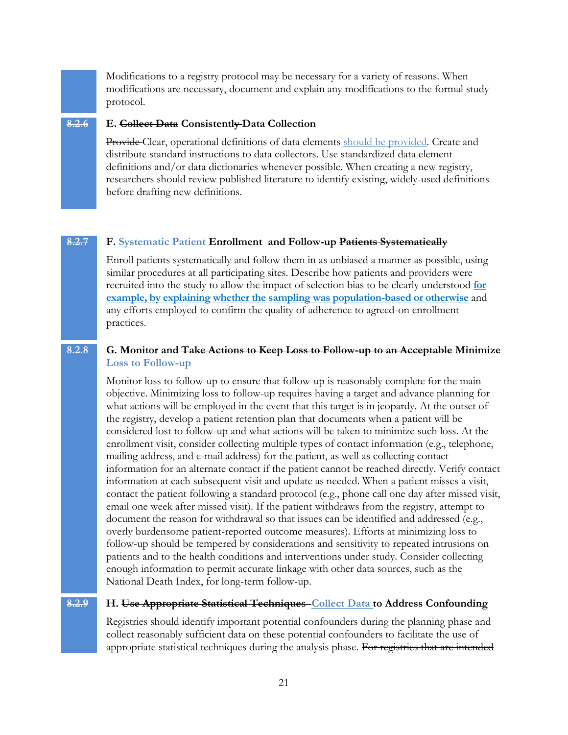Modifications to a registry protocol may be necessary for a variety of reasons. When modifications are necessary, document and explain any modifications to the formal study protocol.

## **8.2.6 E. Collect Data Consistently Data Collection**

Provide Clear, operational definitions of data elements should be provided. Create and distribute standard instructions to data collectors. Use standardized data element definitions and/or data dictionaries whenever possible. When creating a new registry, researchers should review published literature to identify existing, widely-used definitions before drafting new definitions.

#### **8.2.7 F. Systematic Patient Enrollment and Follow-up Patients Systematically**

Enroll patients systematically and follow them in as unbiased a manner as possible, using similar procedures at all participating sites. Describe how patients and providers were recruited into the study to allow the impact of selection bias to be clearly understood **for example, by explaining whether the sampling was population-based or otherwise** and any efforts employed to confirm the quality of adherence to agreed-on enrollment practices.

#### **8.2.8 G. Monitor and Take Actions to Keep Loss to Follow-up to an Acceptable Minimize Loss to Follow-up**

Monitor loss to follow-up to ensure that follow-up is reasonably complete for the main objective. Minimizing loss to follow-up requires having a target and advance planning for what actions will be employed in the event that this target is in jeopardy. At the outset of the registry, develop a patient retention plan that documents when a patient will be considered lost to follow-up and what actions will be taken to minimize such loss. At the enrollment visit, consider collecting multiple types of contact information (e.g., telephone, mailing address, and e-mail address) for the patient, as well as collecting contact information for an alternate contact if the patient cannot be reached directly. Verify contact information at each subsequent visit and update as needed. When a patient misses a visit, contact the patient following a standard protocol (e.g., phone call one day after missed visit, email one week after missed visit). If the patient withdraws from the registry, attempt to document the reason for withdrawal so that issues can be identified and addressed (e.g., overly burdensome patient-reported outcome measures). Efforts at minimizing loss to follow-up should be tempered by considerations and sensitivity to repeated intrusions on patients and to the health conditions and interventions under study. Consider collecting enough information to permit accurate linkage with other data sources, such as the National Death Index, for long-term follow-up.

#### **8.2.9 H. Use Appropriate Statistical Techniques Collect Data to Address Confounding**

Registries should identify important potential confounders during the planning phase and collect reasonably sufficient data on these potential confounders to facilitate the use of appropriate statistical techniques during the analysis phase. For registries that are intended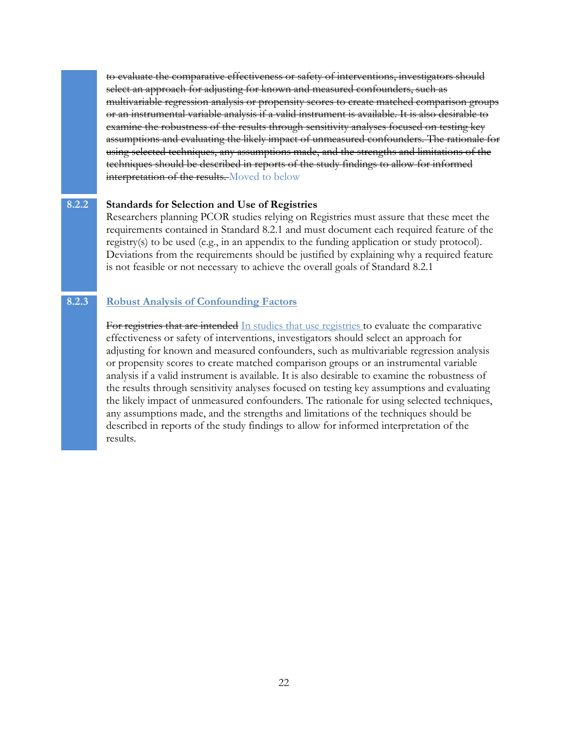to evaluate the comparative effectiveness or safety of interventions, investigators should select an approach for adjusting for known and measured confounders, such as multivariable regression analysis or propensity scores to create matched comparison groups or an instrumental variable analysis if a valid instrument is available. It is also desirable to examine the robustness of the results through sensitivity analyses focused on testing key assumptions and evaluating the likely impact of unmeasured confounders. The rationale for using selected techniques, any assumptions made, and the strengths and limitations of the techniques should be described in reports of the study findings to allow for informed interpretation of the results. Moved to below

### **8.2.2 Standards for Selection and Use of Registries**

Researchers planning PCOR studies relying on Registries must assure that these meet the requirements contained in Standard 8.2.1 and must document each required feature of the registry(s) to be used (e.g., in an appendix to the funding application or study protocol). Deviations from the requirements should be justified by explaining why a required feature is not feasible or not necessary to achieve the overall goals of Standard 8.2.1

## **8.2.3 Robust Analysis of Confounding Factors**

For registries that are intended In studies that use registries to evaluate the comparative effectiveness or safety of interventions, investigators should select an approach for adjusting for known and measured confounders, such as multivariable regression analysis or propensity scores to create matched comparison groups or an instrumental variable analysis if a valid instrument is available. It is also desirable to examine the robustness of the results through sensitivity analyses focused on testing key assumptions and evaluating the likely impact of unmeasured confounders. The rationale for using selected techniques, any assumptions made, and the strengths and limitations of the techniques should be described in reports of the study findings to allow for informed interpretation of the results.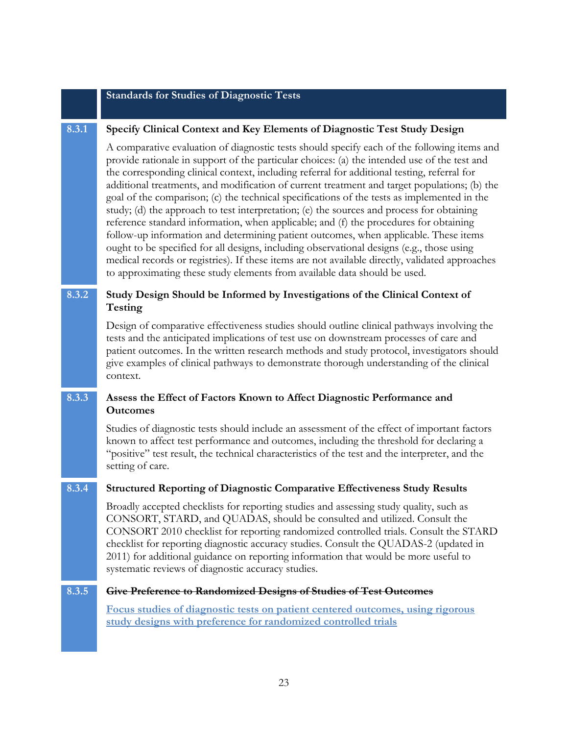#### **Standards for Studies of Diagnostic Tests**

#### **8.3.1 Specify Clinical Context and Key Elements of Diagnostic Test Study Design**

A comparative evaluation of diagnostic tests should specify each of the following items and provide rationale in support of the particular choices: (a) the intended use of the test and the corresponding clinical context, including referral for additional testing, referral for additional treatments, and modification of current treatment and target populations; (b) the goal of the comparison; (c) the technical specifications of the tests as implemented in the study; (d) the approach to test interpretation; (e) the sources and process for obtaining reference standard information, when applicable; and (f) the procedures for obtaining follow-up information and determining patient outcomes, when applicable. These items ought to be specified for all designs, including observational designs (e.g., those using medical records or registries). If these items are not available directly, validated approaches to approximating these study elements from available data should be used.

## **8.3.2 Study Design Should be Informed by Investigations of the Clinical Context of Testing**

Design of comparative effectiveness studies should outline clinical pathways involving the tests and the anticipated implications of test use on downstream processes of care and patient outcomes. In the written research methods and study protocol, investigators should give examples of clinical pathways to demonstrate thorough understanding of the clinical context.

## **8.3.3 Assess the Effect of Factors Known to Affect Diagnostic Performance and Outcomes**

Studies of diagnostic tests should include an assessment of the effect of important factors known to affect test performance and outcomes, including the threshold for declaring a "positive" test result, the technical characteristics of the test and the interpreter, and the setting of care.

#### **8.3.4 Structured Reporting of Diagnostic Comparative Effectiveness Study Results**

Broadly accepted checklists for reporting studies and assessing study quality, such as CONSORT, STARD, and QUADAS, should be consulted and utilized. Consult the CONSORT 2010 checklist for reporting randomized controlled trials. Consult the STARD checklist for reporting diagnostic accuracy studies. Consult the QUADAS-2 (updated in 2011) for additional guidance on reporting information that would be more useful to systematic reviews of diagnostic accuracy studies.

#### **8.3.5 Give Preference to Randomized Designs of Studies of Test Outcomes**

**Focus studies of diagnostic tests on patient centered outcomes, using rigorous study designs with preference for randomized controlled trials**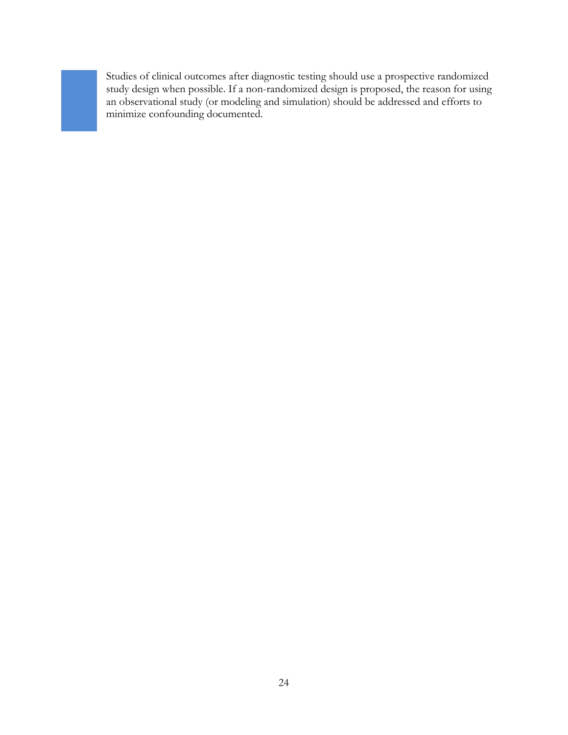Studies of clinical outcomes after diagnostic testing should use a prospective randomized study design when possible. If a non-randomized design is proposed, the reason for using an observational study (or modeling and simulation) should be addressed and efforts to minimize confounding documented.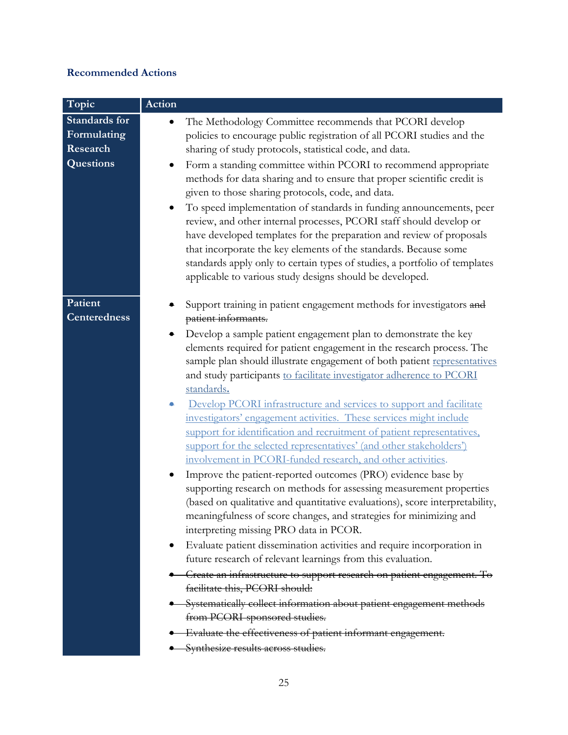# **Recommended Actions**

| Topic                                                        | Action                                                                                                                                                                                                                                                                                                                                                                                                                                                                                                                                                                                                                                                                                                                                                                                                                                                                                                                                                                                                                                                                                                                                                                                                                                                                                                                                                                                                                                                                                                                                                                                              |
|--------------------------------------------------------------|-----------------------------------------------------------------------------------------------------------------------------------------------------------------------------------------------------------------------------------------------------------------------------------------------------------------------------------------------------------------------------------------------------------------------------------------------------------------------------------------------------------------------------------------------------------------------------------------------------------------------------------------------------------------------------------------------------------------------------------------------------------------------------------------------------------------------------------------------------------------------------------------------------------------------------------------------------------------------------------------------------------------------------------------------------------------------------------------------------------------------------------------------------------------------------------------------------------------------------------------------------------------------------------------------------------------------------------------------------------------------------------------------------------------------------------------------------------------------------------------------------------------------------------------------------------------------------------------------------|
| <b>Standards</b> for<br>Formulating<br>Research<br>Questions | The Methodology Committee recommends that PCORI develop<br>$\bullet$<br>policies to encourage public registration of all PCORI studies and the<br>sharing of study protocols, statistical code, and data.<br>Form a standing committee within PCORI to recommend appropriate<br>methods for data sharing and to ensure that proper scientific credit is<br>given to those sharing protocols, code, and data.<br>To speed implementation of standards in funding announcements, peer<br>$\bullet$<br>review, and other internal processes, PCORI staff should develop or<br>have developed templates for the preparation and review of proposals<br>that incorporate the key elements of the standards. Because some<br>standards apply only to certain types of studies, a portfolio of templates<br>applicable to various study designs should be developed.                                                                                                                                                                                                                                                                                                                                                                                                                                                                                                                                                                                                                                                                                                                                       |
| Patient<br><b>Centeredness</b>                               | Support training in patient engagement methods for investigators and<br>patient informants.<br>Develop a sample patient engagement plan to demonstrate the key<br>elements required for patient engagement in the research process. The<br>sample plan should illustrate engagement of both patient representatives<br>and study participants to facilitate investigator adherence to PCORI<br>standards.<br>Develop PCORI infrastructure and services to support and facilitate<br>۰<br>investigators' engagement activities. These services might include<br>support for identification and recruitment of patient representatives,<br>support for the selected representatives' (and other stakeholders')<br>involvement in PCORI-funded research, and other activities.<br>Improve the patient-reported outcomes (PRO) evidence base by<br>$\bullet$<br>supporting research on methods for assessing measurement properties<br>(based on qualitative and quantitative evaluations), score interpretability,<br>meaningfulness of score changes, and strategies for minimizing and<br>interpreting missing PRO data in PCOR.<br>Evaluate patient dissemination activities and require incorporation in<br>future research of relevant learnings from this evaluation.<br>- Create an infrastructure to support research on patient engagement. To<br>facilitate this, PCORI should:<br>Systematically collect information about patient engagement methods<br>from PCORI-sponsored studies.<br>Evaluate the effectiveness of patient informant engagement.<br>Synthesize results across studies. |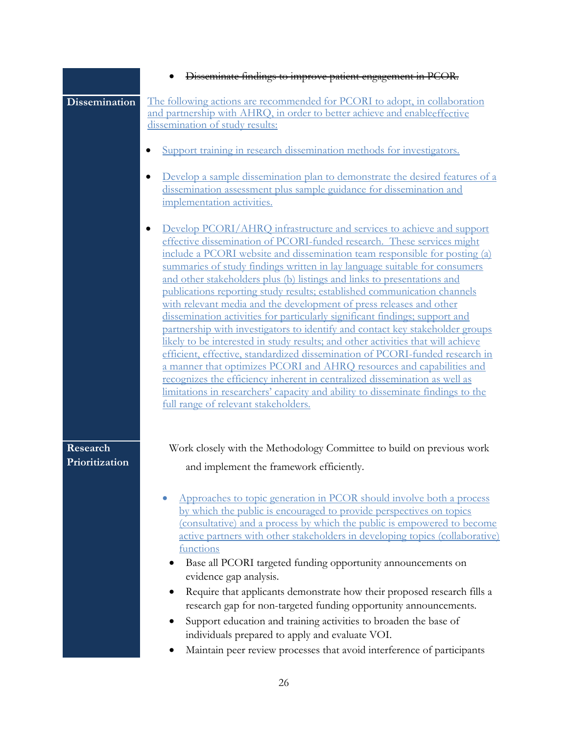|                            | Disseminate findings to improve patient engagement in PCOR.                                                                                                                                                                                                                                                                                                                                                                                                                                                                                                                                                                                                                                                                                                                                                                                                                                                                                                                                                                                                                                                                                                                  |
|----------------------------|------------------------------------------------------------------------------------------------------------------------------------------------------------------------------------------------------------------------------------------------------------------------------------------------------------------------------------------------------------------------------------------------------------------------------------------------------------------------------------------------------------------------------------------------------------------------------------------------------------------------------------------------------------------------------------------------------------------------------------------------------------------------------------------------------------------------------------------------------------------------------------------------------------------------------------------------------------------------------------------------------------------------------------------------------------------------------------------------------------------------------------------------------------------------------|
| <b>Dissemination</b>       | The following actions are recommended for PCORI to adopt, in collaboration<br>and partnership with AHRQ, in order to better achieve and enableeffective<br>dissemination of study results:                                                                                                                                                                                                                                                                                                                                                                                                                                                                                                                                                                                                                                                                                                                                                                                                                                                                                                                                                                                   |
|                            | Support training in research dissemination methods for investigators.                                                                                                                                                                                                                                                                                                                                                                                                                                                                                                                                                                                                                                                                                                                                                                                                                                                                                                                                                                                                                                                                                                        |
|                            | Develop a sample dissemination plan to demonstrate the desired features of a<br>dissemination assessment plus sample guidance for dissemination and<br>implementation activities.                                                                                                                                                                                                                                                                                                                                                                                                                                                                                                                                                                                                                                                                                                                                                                                                                                                                                                                                                                                            |
|                            | Develop PCORI/AHRQ infrastructure and services to achieve and support<br>$\bullet$<br>effective dissemination of PCORI-funded research. These services might<br>include a PCORI website and dissemination team responsible for posting (a)<br>summaries of study findings written in lay language suitable for consumers<br>and other stakeholders plus (b) listings and links to presentations and<br>publications reporting study results; established communication channels<br>with relevant media and the development of press releases and other<br>dissemination activities for particularly significant findings; support and<br>partnership with investigators to identify and contact key stakeholder groups<br>likely to be interested in study results; and other activities that will achieve<br>efficient, effective, standardized dissemination of PCORI-funded research in<br>a manner that optimizes PCORI and AHRQ resources and capabilities and<br>recognizes the efficiency inherent in centralized dissemination as well as<br>limitations in researchers' capacity and ability to disseminate findings to the<br>full range of relevant stakeholders. |
| Research<br>Prioritization | Work closely with the Methodology Committee to build on previous work<br>and implement the framework efficiently.                                                                                                                                                                                                                                                                                                                                                                                                                                                                                                                                                                                                                                                                                                                                                                                                                                                                                                                                                                                                                                                            |
|                            | Approaches to topic generation in PCOR should involve both a process<br>by which the public is encouraged to provide perspectives on topics<br>(consultative) and a process by which the public is empowered to become<br>active partners with other stakeholders in developing topics (collaborative)<br>functions<br>Base all PCORI targeted funding opportunity announcements on<br>evidence gap analysis.<br>Require that applicants demonstrate how their proposed research fills a<br>research gap for non-targeted funding opportunity announcements.<br>Support education and training activities to broaden the base of<br>individuals prepared to apply and evaluate VOI.<br>Maintain peer review processes that avoid interference of participants                                                                                                                                                                                                                                                                                                                                                                                                                |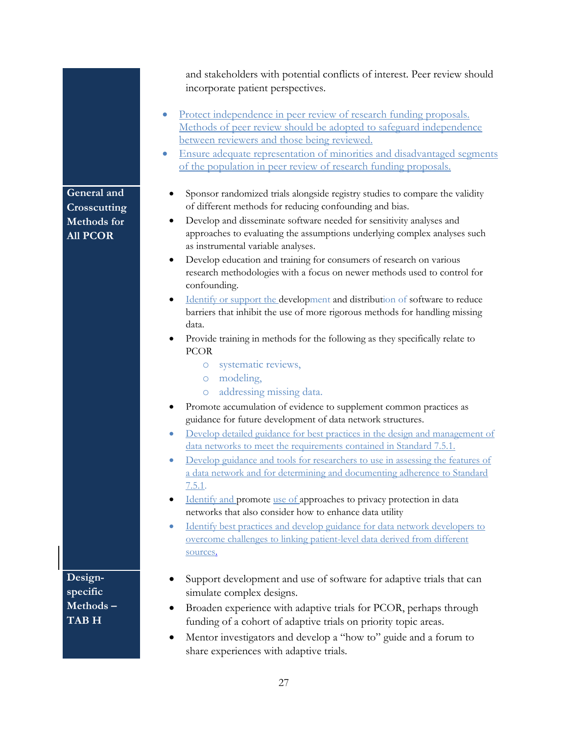and stakeholders with potential conflicts of interest. Peer review should incorporate patient perspectives.

- Protect independence in peer review of research funding proposals. Methods of peer review should be adopted to safeguard independence between reviewers and those being reviewed.
- Ensure adequate representation of minorities and disadvantaged segments of the population in peer review of research funding proposals.
	- Sponsor randomized trials alongside registry studies to compare the validity of different methods for reducing confounding and bias.
	- Develop and disseminate software needed for sensitivity analyses and approaches to evaluating the assumptions underlying complex analyses such as instrumental variable analyses.
	- Develop education and training for consumers of research on various research methodologies with a focus on newer methods used to control for confounding.
	- Identify or support the development and distribution of software to reduce barriers that inhibit the use of more rigorous methods for handling missing data.
- Provide training in methods for the following as they specifically relate to PCOR
	- o systematic reviews,
	- o modeling,
	- o addressing missing data.
- Promote accumulation of evidence to supplement common practices as guidance for future development of data network structures.
- Develop detailed guidance for best practices in the design and management of data networks to meet the requirements contained in Standard 7.5.1.
- Develop guidance and tools for researchers to use in assessing the features of a data network and for determining and documenting adherence to Standard 7.5.1.
- Identify and promote use of approaches to privacy protection in data networks that also consider how to enhance data utility
- Identify best practices and develop guidance for data network developers to overcome challenges to linking patient-level data derived from different sources.
- **Designspecific Methods – TAB H**
- Support development and use of software for adaptive trials that can simulate complex designs.
- Broaden experience with adaptive trials for PCOR, perhaps through funding of a cohort of adaptive trials on priority topic areas.
- Mentor investigators and develop a "how to" guide and a forum to share experiences with adaptive trials.

27

# **General and Crosscutting Methods for All PCOR**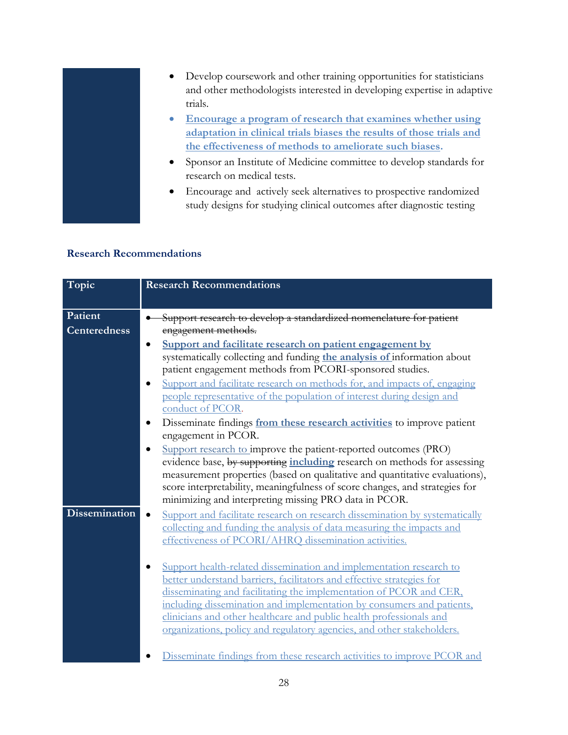

- Develop coursework and other training opportunities for statisticians and other methodologists interested in developing expertise in adaptive trials.
- **Encourage a program of research that examines whether using adaptation in clinical trials biases the results of those trials and the effectiveness of methods to ameliorate such biases.**
- Sponsor an Institute of Medicine committee to develop standards for research on medical tests.
- Encourage and actively seek alternatives to prospective randomized study designs for studying clinical outcomes after diagnostic testing

## **Research Recommendations**

| Topic                | <b>Research Recommendations</b>                                                                                                                                                                 |
|----------------------|-------------------------------------------------------------------------------------------------------------------------------------------------------------------------------------------------|
|                      |                                                                                                                                                                                                 |
| Patient              | Support research to develop a standardized nomenclature for patient                                                                                                                             |
| <b>Centeredness</b>  | engagement methods.                                                                                                                                                                             |
|                      | Support and facilitate research on patient engagement by<br>systematically collecting and funding the analysis of information about<br>patient engagement methods from PCORI-sponsored studies. |
|                      | Support and facilitate research on methods for, and impacts of, engaging                                                                                                                        |
|                      | people representative of the population of interest during design and<br>conduct of PCOR.                                                                                                       |
|                      | Disseminate findings from these research activities to improve patient                                                                                                                          |
|                      | engagement in PCOR.                                                                                                                                                                             |
|                      | Support research to improve the patient-reported outcomes (PRO)                                                                                                                                 |
|                      | evidence base, by supporting including research on methods for assessing                                                                                                                        |
|                      | measurement properties (based on qualitative and quantitative evaluations),                                                                                                                     |
|                      | score interpretability, meaningfulness of score changes, and strategies for<br>minimizing and interpreting missing PRO data in PCOR.                                                            |
| <b>Dissemination</b> | Support and facilitate research on research dissemination by systematically                                                                                                                     |
|                      | collecting and funding the analysis of data measuring the impacts and                                                                                                                           |
|                      | effectiveness of PCORI/AHRQ dissemination activities.                                                                                                                                           |
|                      |                                                                                                                                                                                                 |
|                      | Support health-related dissemination and implementation research to                                                                                                                             |
|                      | better understand barriers, facilitators and effective strategies for                                                                                                                           |
|                      | disseminating and facilitating the implementation of PCOR and CER,<br>including dissemination and implementation by consumers and patients,                                                     |
|                      | clinicians and other healthcare and public health professionals and                                                                                                                             |
|                      | organizations, policy and regulatory agencies, and other stakeholders.                                                                                                                          |
|                      |                                                                                                                                                                                                 |
|                      | Disseminate findings from these research activities to improve PCOR and                                                                                                                         |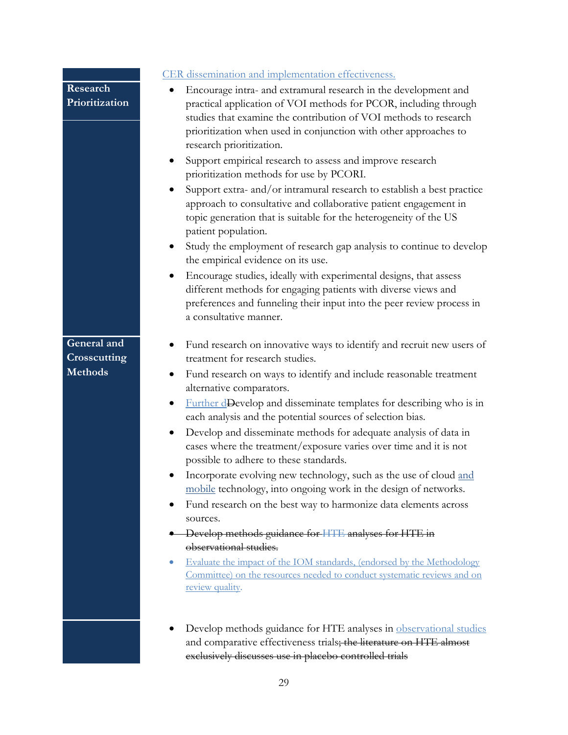|                                               | CER dissemination and implementation effectiveness.                                                                                                                                                                                                                                                                                                                                                                                                                                                                                                                                                                                                                                                                                                                                                                                                                                                                                                                                                                              |
|-----------------------------------------------|----------------------------------------------------------------------------------------------------------------------------------------------------------------------------------------------------------------------------------------------------------------------------------------------------------------------------------------------------------------------------------------------------------------------------------------------------------------------------------------------------------------------------------------------------------------------------------------------------------------------------------------------------------------------------------------------------------------------------------------------------------------------------------------------------------------------------------------------------------------------------------------------------------------------------------------------------------------------------------------------------------------------------------|
| Research<br>Prioritization                    | Encourage intra- and extramural research in the development and<br>practical application of VOI methods for PCOR, including through<br>studies that examine the contribution of VOI methods to research<br>prioritization when used in conjunction with other approaches to<br>research prioritization.<br>Support empirical research to assess and improve research<br>prioritization methods for use by PCORI.<br>Support extra- and/or intramural research to establish a best practice<br>approach to consultative and collaborative patient engagement in<br>topic generation that is suitable for the heterogeneity of the US<br>patient population.<br>Study the employment of research gap analysis to continue to develop<br>the empirical evidence on its use.<br>Encourage studies, ideally with experimental designs, that assess<br>different methods for engaging patients with diverse views and<br>preferences and funneling their input into the peer review process in<br>a consultative manner.               |
| General and<br>Crosscutting<br><b>Methods</b> | Fund research on innovative ways to identify and recruit new users of<br>treatment for research studies.<br>Fund research on ways to identify and include reasonable treatment<br>alternative comparators.<br>Further dDevelop and disseminate templates for describing who is in<br>each analysis and the potential sources of selection bias.<br>Develop and disseminate methods for adequate analysis of data in<br>cases where the treatment/exposure varies over time and it is not<br>possible to adhere to these standards.<br>Incorporate evolving new technology, such as the use of cloud and<br>mobile technology, into ongoing work in the design of networks.<br>Fund research on the best way to harmonize data elements across<br>sources.<br>Develop methods guidance for HTE analyses for HTE in<br>observational studies.<br>Evaluate the impact of the IOM standards, (endorsed by the Methodology<br>$\bullet$<br>Committee) on the resources needed to conduct systematic reviews and on<br>review quality. |
|                                               | Develop methods guidance for HTE analyses in observational studies<br>and comparative effectiveness trials; the literature on HTE almost<br>exclusively discusses use in placebo controlled trials                                                                                                                                                                                                                                                                                                                                                                                                                                                                                                                                                                                                                                                                                                                                                                                                                               |

29